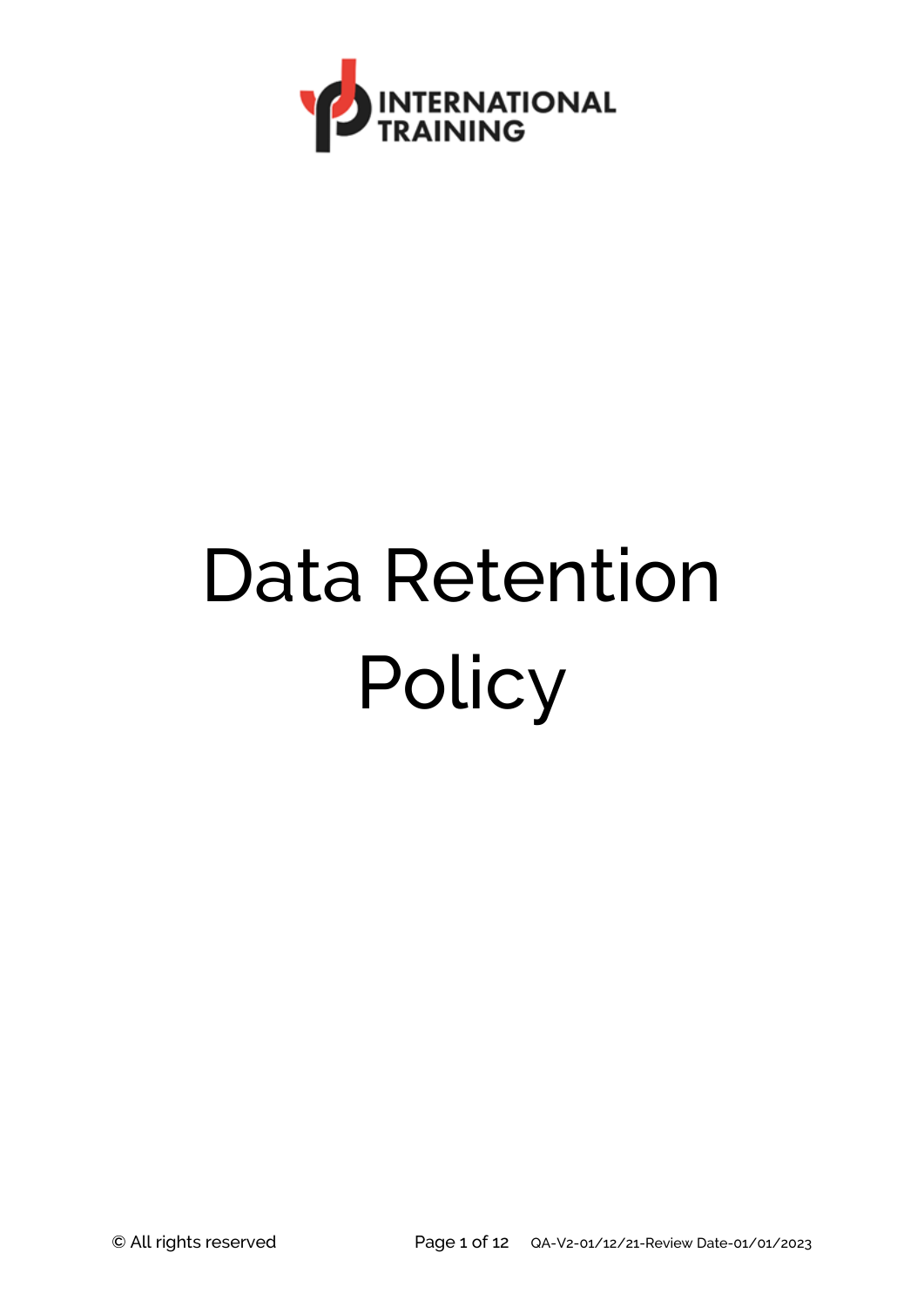

# Data Retention **Policy**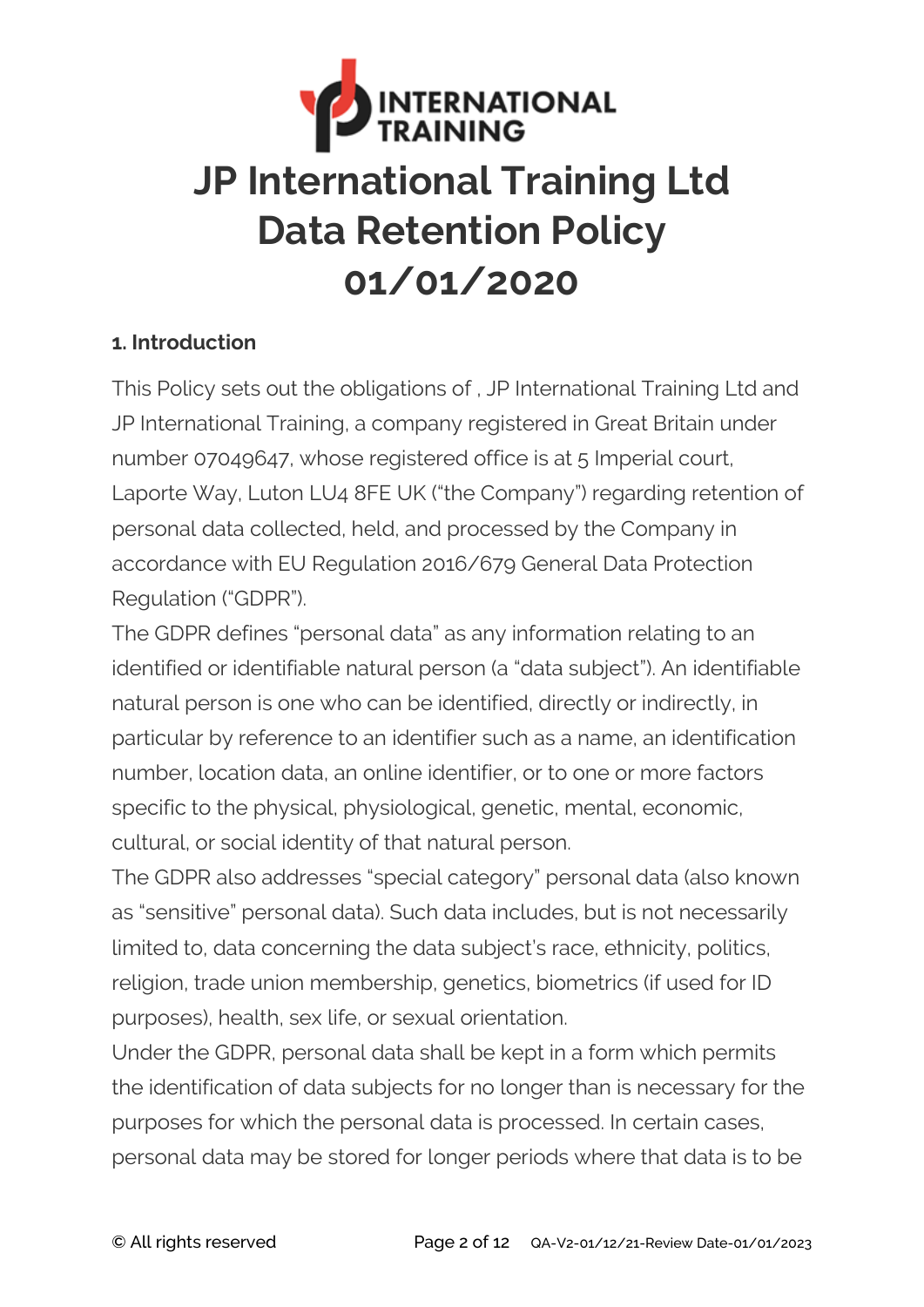

### **1. Introduction**

This Policy sets out the obligations of , JP International Training Ltd and JP International Training, a company registered in Great Britain under number 07049647, whose registered office is at 5 Imperial court, Laporte Way, Luton LU4 8FE UK ("the Company") regarding retention of personal data collected, held, and processed by the Company in accordance with EU Regulation 2016/679 General Data Protection Regulation ("GDPR").

The GDPR defines "personal data" as any information relating to an identified or identifiable natural person (a "data subject"). An identifiable natural person is one who can be identified, directly or indirectly, in particular by reference to an identifier such as a name, an identification number, location data, an online identifier, or to one or more factors specific to the physical, physiological, genetic, mental, economic, cultural, or social identity of that natural person.

The GDPR also addresses "special category" personal data (also known as "sensitive" personal data). Such data includes, but is not necessarily limited to, data concerning the data subject's race, ethnicity, politics, religion, trade union membership, genetics, biometrics (if used for ID purposes), health, sex life, or sexual orientation.

Under the GDPR, personal data shall be kept in a form which permits the identification of data subjects for no longer than is necessary for the purposes for which the personal data is processed. In certain cases, personal data may be stored for longer periods where that data is to be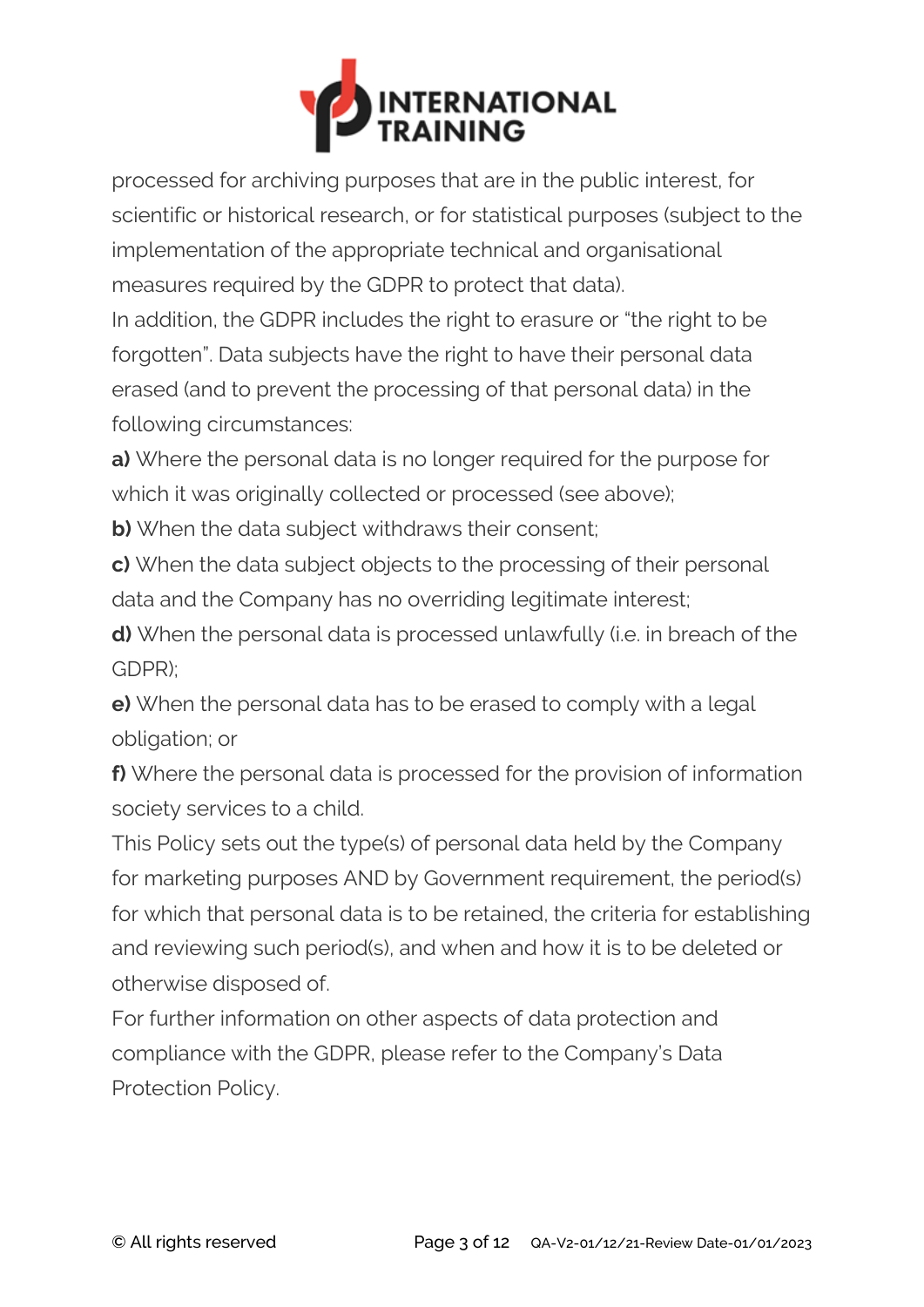

processed for archiving purposes that are in the public interest, for scientific or historical research, or for statistical purposes (subject to the implementation of the appropriate technical and organisational measures required by the GDPR to protect that data).

In addition, the GDPR includes the right to erasure or "the right to be forgotten". Data subjects have the right to have their personal data erased (and to prevent the processing of that personal data) in the following circumstances:

**a)** Where the personal data is no longer required for the purpose for which it was originally collected or processed (see above);

**b)** When the data subject withdraws their consent;

**c)** When the data subject objects to the processing of their personal data and the Company has no overriding legitimate interest;

**d)** When the personal data is processed unlawfully (i.e. in breach of the GDPR);

**e)** When the personal data has to be erased to comply with a legal obligation; or

**f)** Where the personal data is processed for the provision of information society services to a child.

This Policy sets out the type(s) of personal data held by the Company for marketing purposes AND by Government requirement, the period(s) for which that personal data is to be retained, the criteria for establishing and reviewing such period(s), and when and how it is to be deleted or otherwise disposed of.

For further information on other aspects of data protection and compliance with the GDPR, please refer to the Company's Data Protection Policy.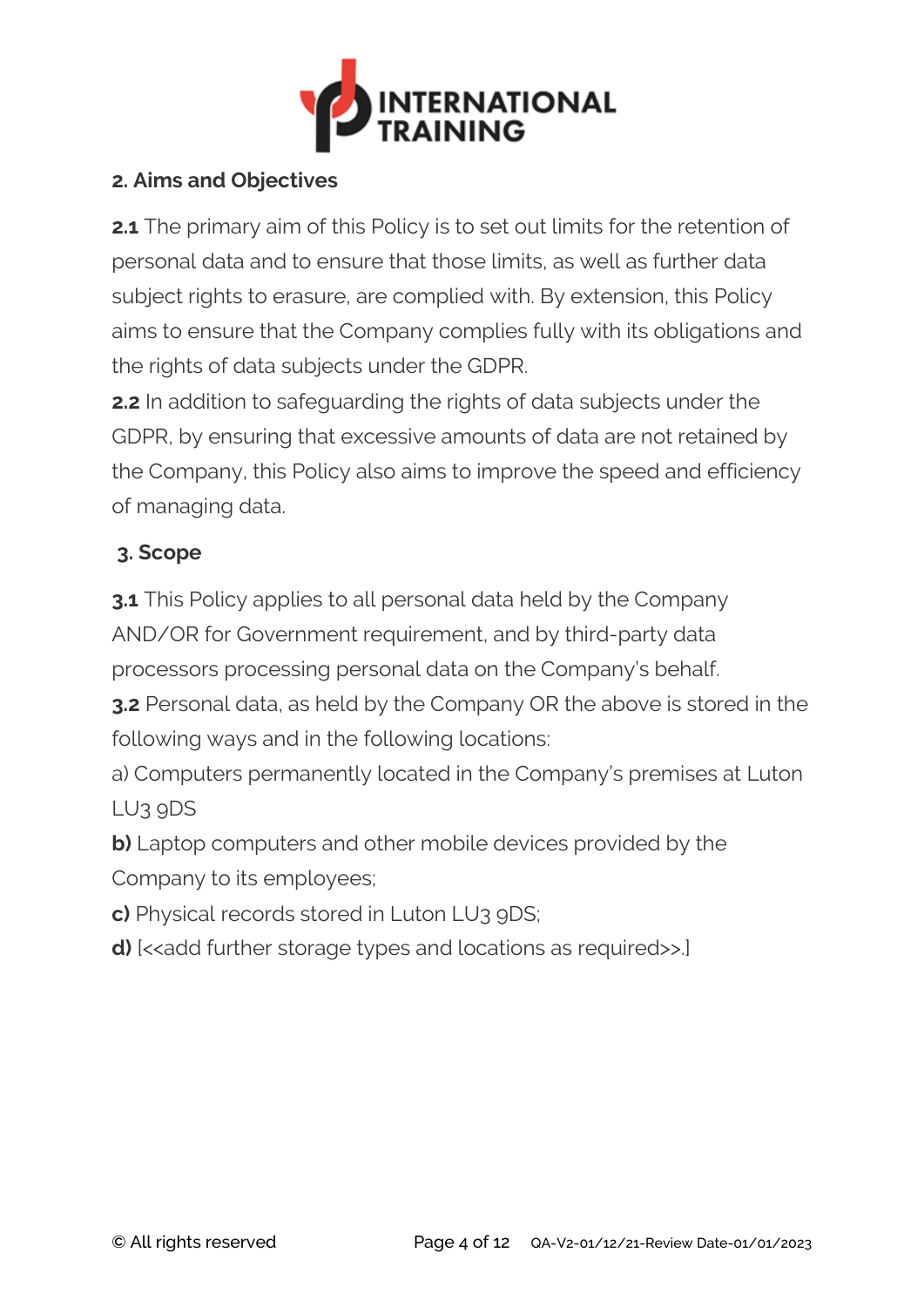

## **2. Aims and Objectives**

**2.1** The primary aim of this Policy is to set out limits for the retention of personal data and to ensure that those limits, as well as further data subject rights to erasure, are complied with. By extension, this Policy aims to ensure that the Company complies fully with its obligations and the rights of data subjects under the GDPR.

**2.2** In addition to safeguarding the rights of data subjects under the GDPR, by ensuring that excessive amounts of data are not retained by the Company, this Policy also aims to improve the speed and efficiency of managing data.

# **3. Scope**

**3.1** This Policy applies to all personal data held by the Company AND/OR for Government requirement, and by third-party data processors processing personal data on the Company's behalf.

**3.2** Personal data, as held by the Company OR the above is stored in the following ways and in the following locations:

a) Computers permanently located in the Company's premises at Luton LU3 9DS

**b)** Laptop computers and other mobile devices provided by the Company to its employees;

**c)** Physical records stored in Luton LU3 9DS;

**d)** [<<add further storage types and locations as required>>.]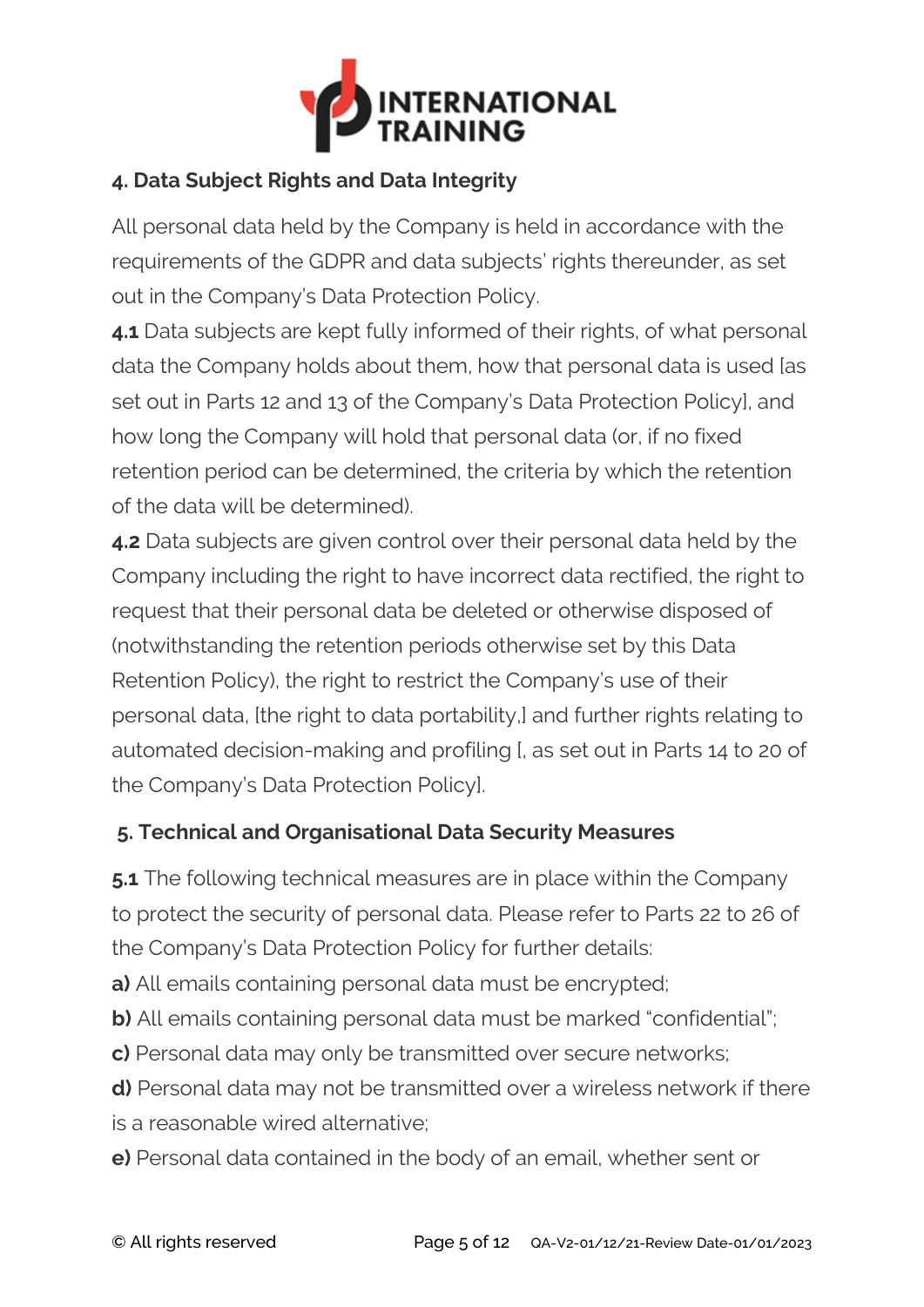

# **4. Data Subject Rights and Data Integrity**

All personal data held by the Company is held in accordance with the requirements of the GDPR and data subjects' rights thereunder, as set out in the Company's Data Protection Policy.

**4.1** Data subjects are kept fully informed of their rights, of what personal data the Company holds about them, how that personal data is used [as set out in Parts 12 and 13 of the Company's Data Protection Policy], and how long the Company will hold that personal data (or, if no fixed retention period can be determined, the criteria by which the retention of the data will be determined).

**4.2** Data subjects are given control over their personal data held by the Company including the right to have incorrect data rectified, the right to request that their personal data be deleted or otherwise disposed of (notwithstanding the retention periods otherwise set by this Data Retention Policy), the right to restrict the Company's use of their personal data, [the right to data portability,] and further rights relating to automated decision-making and profiling [, as set out in Parts 14 to 20 of the Company's Data Protection Policy].

### **5. Technical and Organisational Data Security Measures**

**5.1** The following technical measures are in place within the Company to protect the security of personal data. Please refer to Parts 22 to 26 of the Company's Data Protection Policy for further details:

**a)** All emails containing personal data must be encrypted;

**b)** All emails containing personal data must be marked "confidential";

**c)** Personal data may only be transmitted over secure networks;

**d)** Personal data may not be transmitted over a wireless network if there is a reasonable wired alternative;

**e)** Personal data contained in the body of an email, whether sent or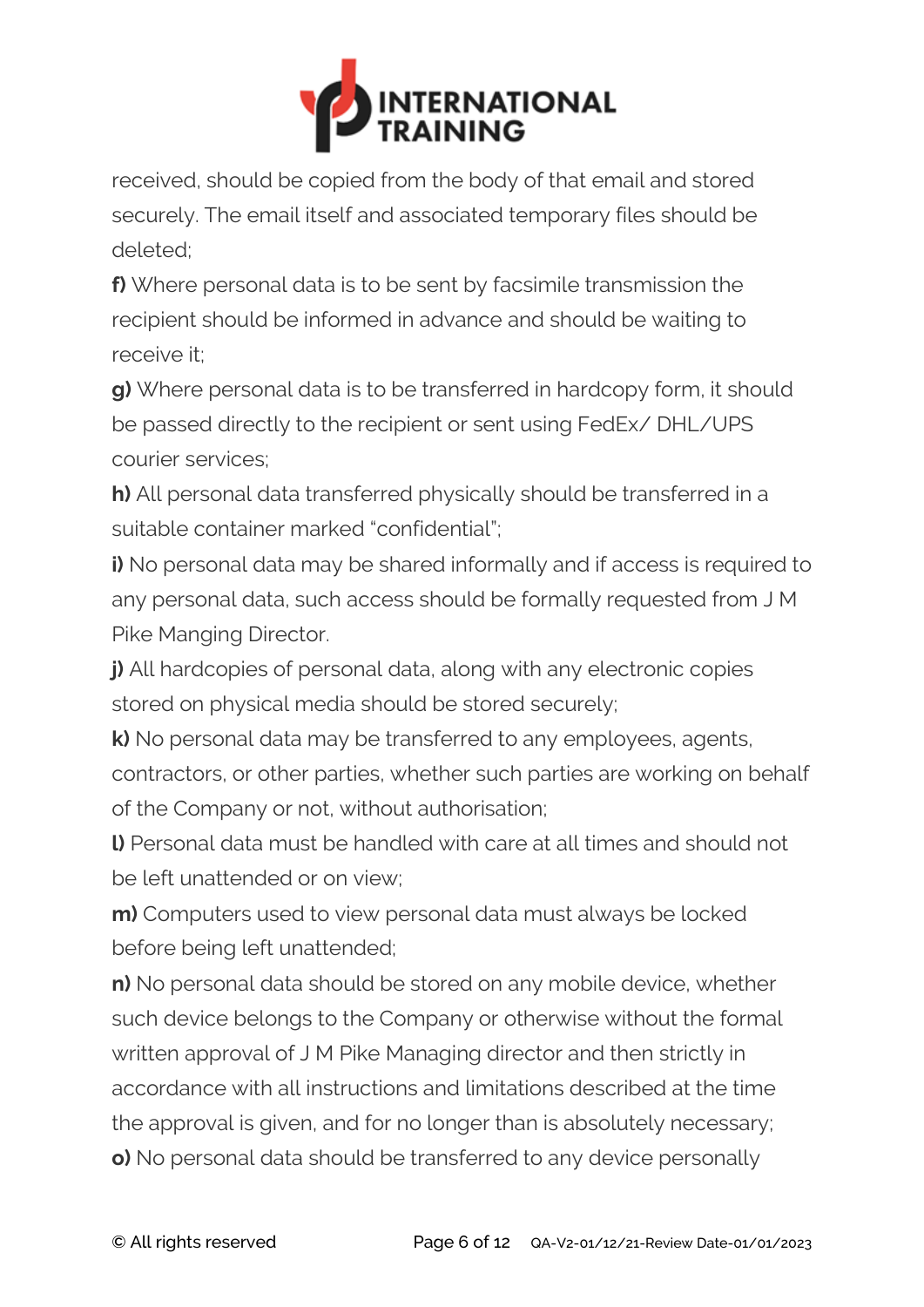

received, should be copied from the body of that email and stored securely. The email itself and associated temporary files should be deleted;

**f)** Where personal data is to be sent by facsimile transmission the recipient should be informed in advance and should be waiting to receive it;

**g)** Where personal data is to be transferred in hardcopy form, it should be passed directly to the recipient or sent using FedEx/ DHL/UPS courier services;

**h)** All personal data transferred physically should be transferred in a suitable container marked "confidential";

**i)** No personal data may be shared informally and if access is required to any personal data, such access should be formally requested from J M Pike Manging Director.

**j)** All hardcopies of personal data, along with any electronic copies stored on physical media should be stored securely;

**k)** No personal data may be transferred to any employees, agents, contractors, or other parties, whether such parties are working on behalf of the Company or not, without authorisation;

**l)** Personal data must be handled with care at all times and should not be left unattended or on view;

**m)** Computers used to view personal data must always be locked before being left unattended;

**n)** No personal data should be stored on any mobile device, whether such device belongs to the Company or otherwise without the formal written approval of J M Pike Managing director and then strictly in accordance with all instructions and limitations described at the time the approval is given, and for no longer than is absolutely necessary; **o)** No personal data should be transferred to any device personally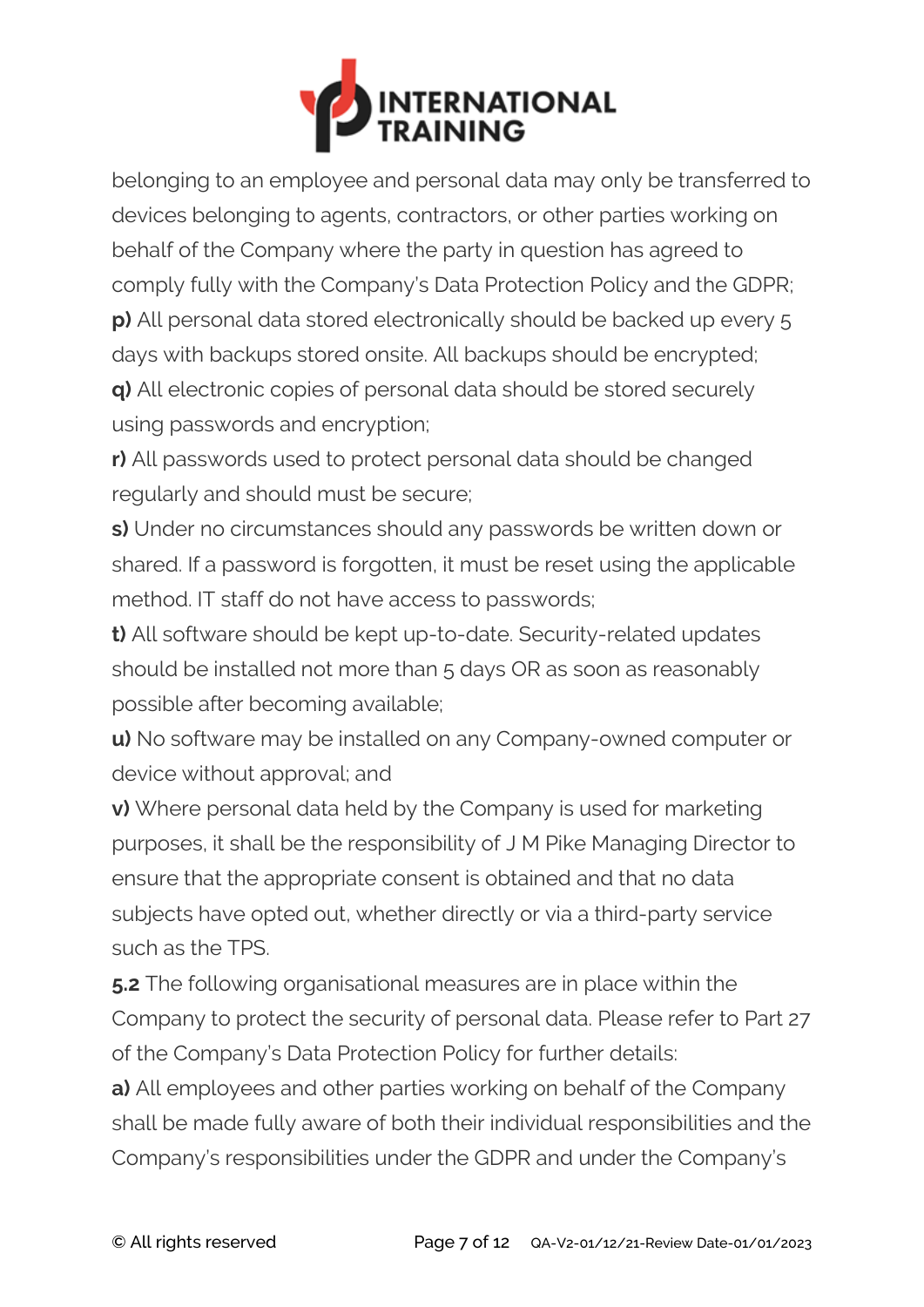

belonging to an employee and personal data may only be transferred to devices belonging to agents, contractors, or other parties working on behalf of the Company where the party in question has agreed to comply fully with the Company's Data Protection Policy and the GDPR; **p)** All personal data stored electronically should be backed up every 5 days with backups stored onsite. All backups should be encrypted; **q)** All electronic copies of personal data should be stored securely

using passwords and encryption;

**r)** All passwords used to protect personal data should be changed regularly and should must be secure;

**s)** Under no circumstances should any passwords be written down or shared. If a password is forgotten, it must be reset using the applicable method. IT staff do not have access to passwords;

**t)** All software should be kept up-to-date. Security-related updates should be installed not more than 5 days OR as soon as reasonably possible after becoming available;

**u)** No software may be installed on any Company-owned computer or device without approval; and

**v)** Where personal data held by the Company is used for marketing purposes, it shall be the responsibility of J M Pike Managing Director to ensure that the appropriate consent is obtained and that no data subjects have opted out, whether directly or via a third-party service such as the TPS.

**5.2** The following organisational measures are in place within the Company to protect the security of personal data. Please refer to Part 27 of the Company's Data Protection Policy for further details:

**a)** All employees and other parties working on behalf of the Company shall be made fully aware of both their individual responsibilities and the Company's responsibilities under the GDPR and under the Company's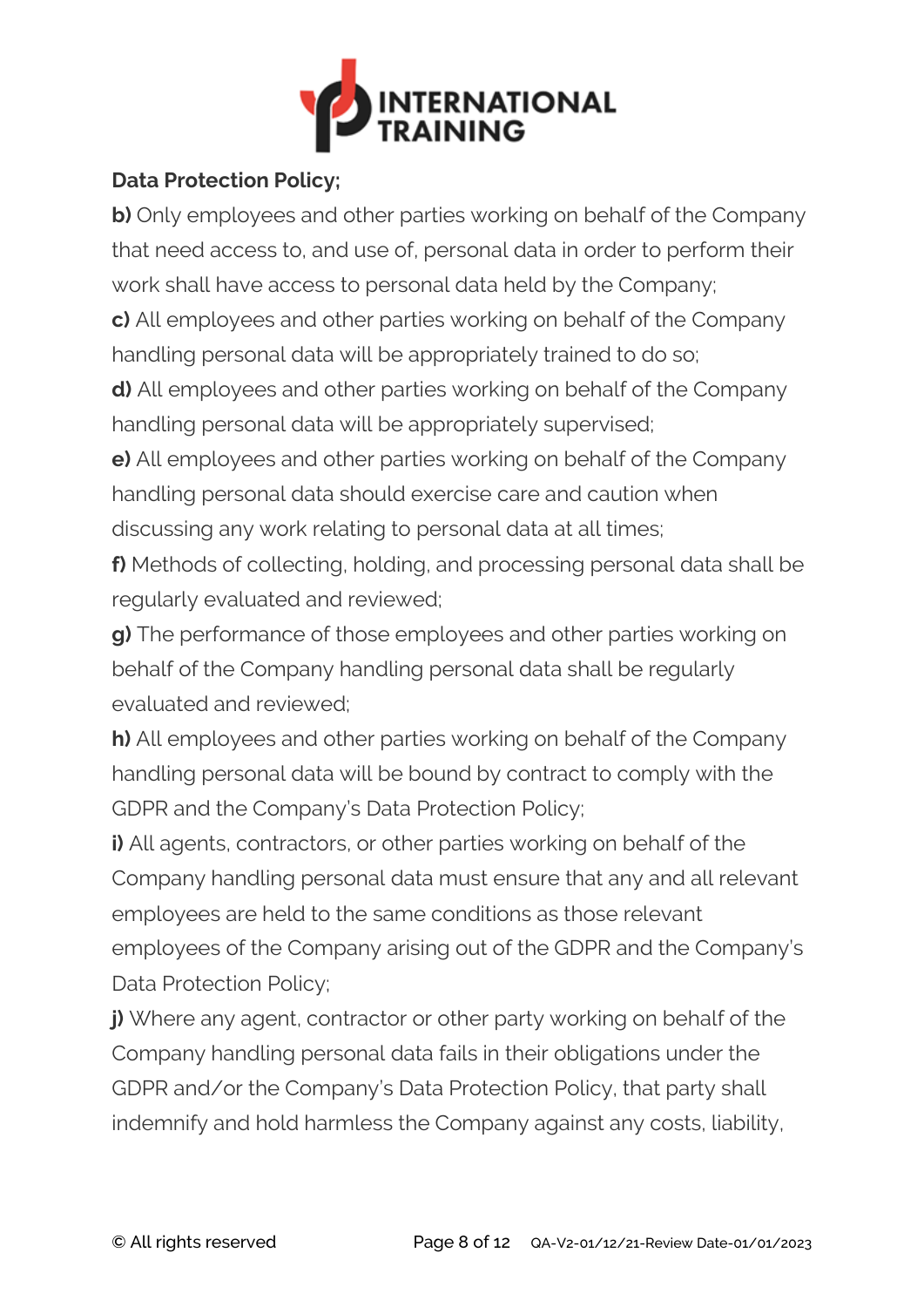

## **Data Protection Policy;**

**b)** Only employees and other parties working on behalf of the Company that need access to, and use of, personal data in order to perform their work shall have access to personal data held by the Company;

**c)** All employees and other parties working on behalf of the Company handling personal data will be appropriately trained to do so;

**d)** All employees and other parties working on behalf of the Company handling personal data will be appropriately supervised;

**e)** All employees and other parties working on behalf of the Company handling personal data should exercise care and caution when discussing any work relating to personal data at all times;

**f)** Methods of collecting, holding, and processing personal data shall be regularly evaluated and reviewed;

**g)** The performance of those employees and other parties working on behalf of the Company handling personal data shall be regularly evaluated and reviewed;

**h)** All employees and other parties working on behalf of the Company handling personal data will be bound by contract to comply with the GDPR and the Company's Data Protection Policy;

**i)** All agents, contractors, or other parties working on behalf of the Company handling personal data must ensure that any and all relevant employees are held to the same conditions as those relevant employees of the Company arising out of the GDPR and the Company's Data Protection Policy;

**j)** Where any agent, contractor or other party working on behalf of the Company handling personal data fails in their obligations under the GDPR and/or the Company's Data Protection Policy, that party shall indemnify and hold harmless the Company against any costs, liability,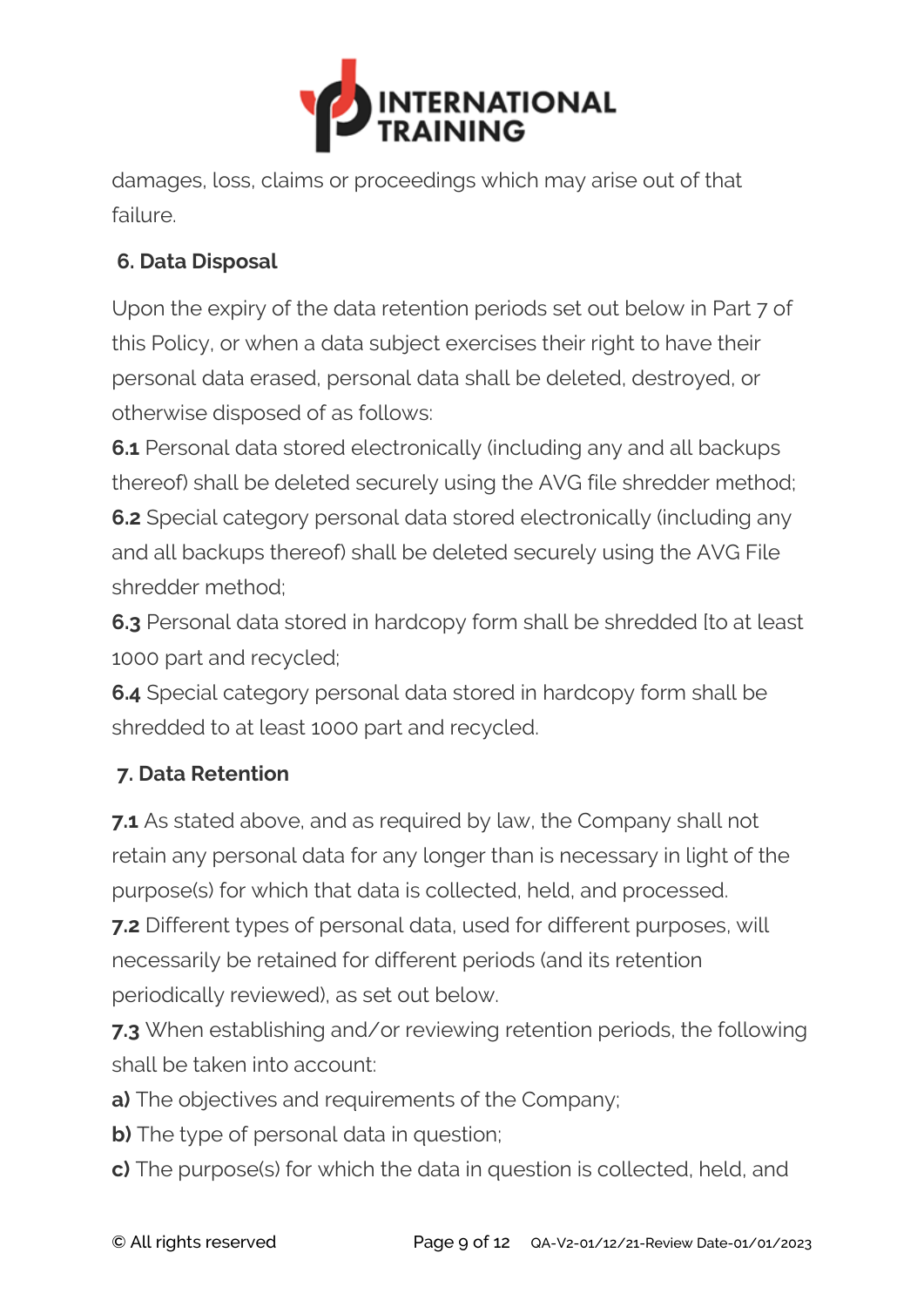

damages, loss, claims or proceedings which may arise out of that failure.

# **6. Data Disposal**

Upon the expiry of the data retention periods set out below in Part 7 of this Policy, or when a data subject exercises their right to have their personal data erased, personal data shall be deleted, destroyed, or otherwise disposed of as follows:

**6.1** Personal data stored electronically (including any and all backups thereof) shall be deleted securely using the AVG file shredder method; **6.2** Special category personal data stored electronically (including any and all backups thereof) shall be deleted securely using the AVG File shredder method;

**6.3** Personal data stored in hardcopy form shall be shredded [to at least 1000 part and recycled;

**6.4** Special category personal data stored in hardcopy form shall be shredded to at least 1000 part and recycled.

# **7. Data Retention**

**7.1** As stated above, and as required by law, the Company shall not retain any personal data for any longer than is necessary in light of the purpose(s) for which that data is collected, held, and processed.

**7.2** Different types of personal data, used for different purposes, will necessarily be retained for different periods (and its retention periodically reviewed), as set out below.

**7.3** When establishing and/or reviewing retention periods, the following shall be taken into account:

- **a)** The objectives and requirements of the Company;
- **b)** The type of personal data in question;
- **c)** The purpose(s) for which the data in question is collected, held, and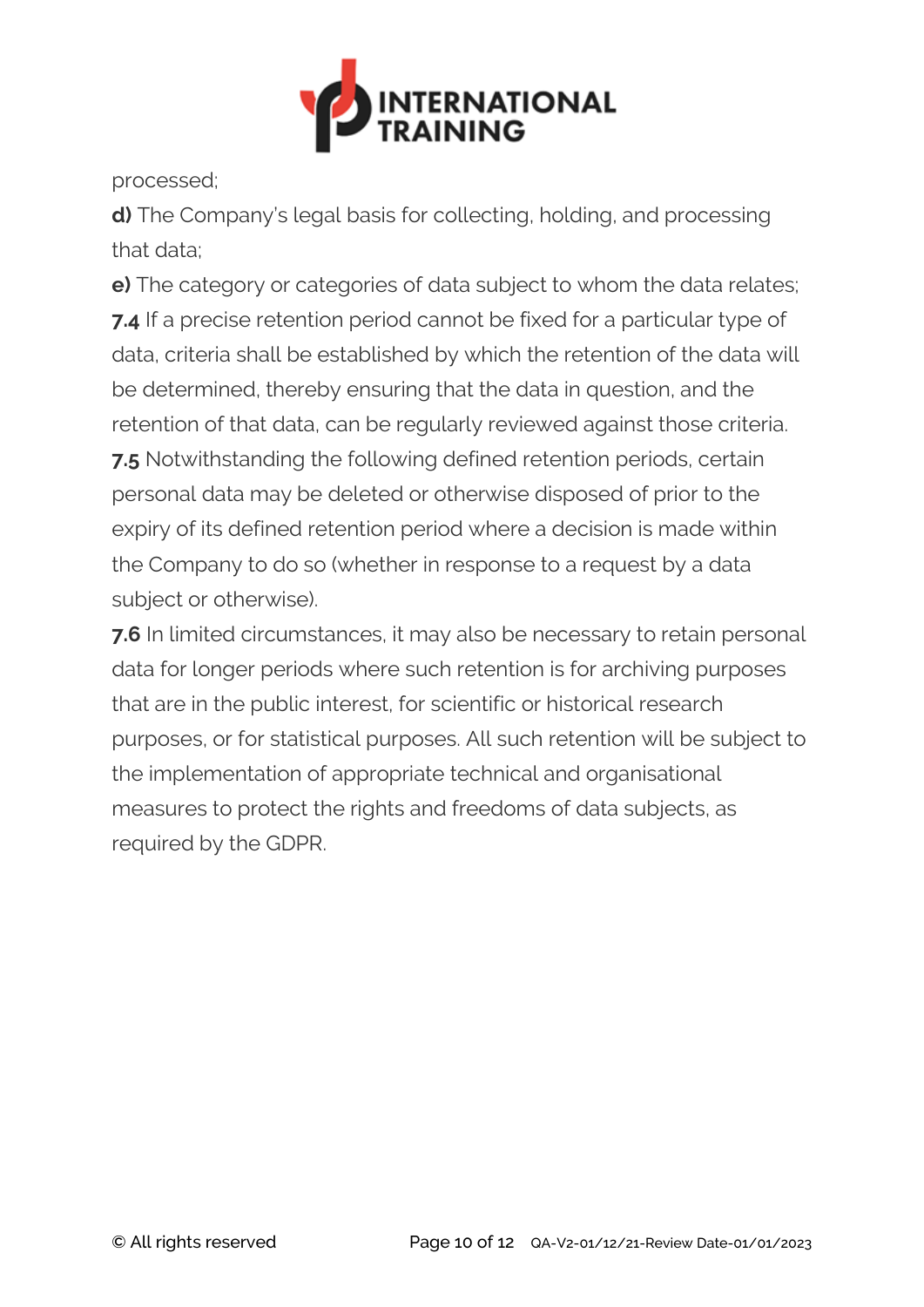

processed;

**d)** The Company's legal basis for collecting, holding, and processing that data;

**e)** The category or categories of data subject to whom the data relates; **7.4** If a precise retention period cannot be fixed for a particular type of data, criteria shall be established by which the retention of the data will be determined, thereby ensuring that the data in question, and the retention of that data, can be regularly reviewed against those criteria. **7.5** Notwithstanding the following defined retention periods, certain personal data may be deleted or otherwise disposed of prior to the expiry of its defined retention period where a decision is made within the Company to do so (whether in response to a request by a data subject or otherwise).

**7.6** In limited circumstances, it may also be necessary to retain personal data for longer periods where such retention is for archiving purposes that are in the public interest, for scientific or historical research purposes, or for statistical purposes. All such retention will be subject to the implementation of appropriate technical and organisational measures to protect the rights and freedoms of data subjects, as required by the GDPR.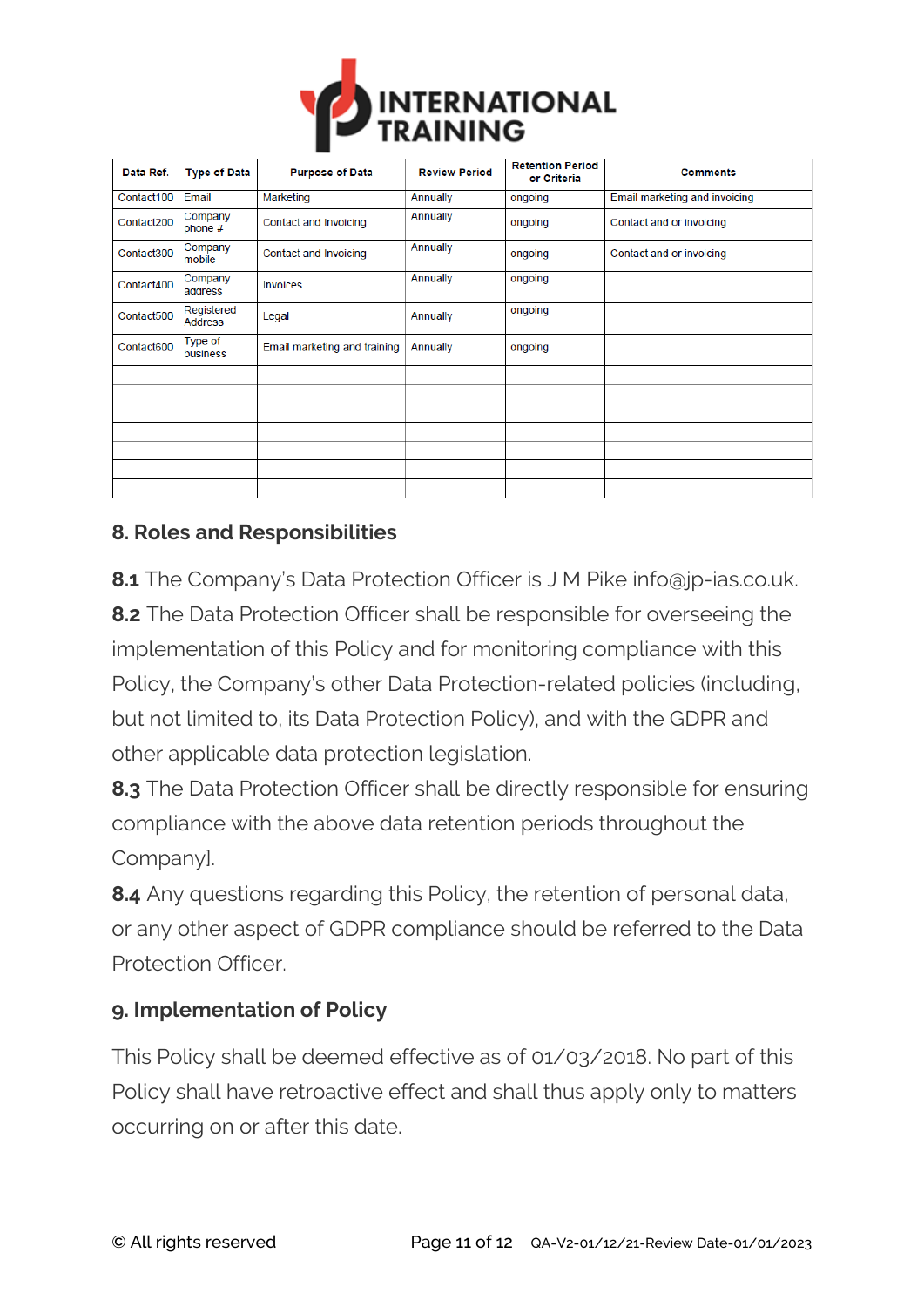

| Data Ref.  | <b>Type of Data</b>          | <b>Purpose of Data</b>       | <b>Review Period</b> | <b>Retention Period</b><br>or Criteria | <b>Comments</b>               |
|------------|------------------------------|------------------------------|----------------------|----------------------------------------|-------------------------------|
| Contact100 | Email                        | Marketing                    | Annually             | ongoing                                | Email marketing and invoicing |
| Contact200 | Company<br>phone #           | Contact and Invoicing        | Annually             | ongoing                                | Contact and or invoicing      |
| Contact300 | Company<br>mobile            | Contact and Invoicing        | Annually             | ongoing                                | Contact and or invoicing      |
| Contact400 | Company<br>address           | Invoices                     | Annually             | ongoing                                |                               |
| Contact500 | Registered<br><b>Address</b> | Legal                        | Annually             | ongoing                                |                               |
| Contact600 | Type of<br>business          | Email marketing and training | Annually             | ongoing                                |                               |
|            |                              |                              |                      |                                        |                               |
|            |                              |                              |                      |                                        |                               |
|            |                              |                              |                      |                                        |                               |
|            |                              |                              |                      |                                        |                               |
|            |                              |                              |                      |                                        |                               |
|            |                              |                              |                      |                                        |                               |
|            |                              |                              |                      |                                        |                               |

#### **8. Roles and Responsibilities**

**8.1** The Company's Data Protection Officer is J M Pike info@jp-ias.co.uk. **8.2** The Data Protection Officer shall be responsible for overseeing the implementation of this Policy and for monitoring compliance with this Policy, the Company's other Data Protection-related policies (including, but not limited to, its Data Protection Policy), and with the GDPR and other applicable data protection legislation.

**8.3** The Data Protection Officer shall be directly responsible for ensuring compliance with the above data retention periods throughout the Company].

**8.4** Any questions regarding this Policy, the retention of personal data, or any other aspect of GDPR compliance should be referred to the Data Protection Officer.

#### **9. Implementation of Policy**

This Policy shall be deemed effective as of 01/03/2018. No part of this Policy shall have retroactive effect and shall thus apply only to matters occurring on or after this date.